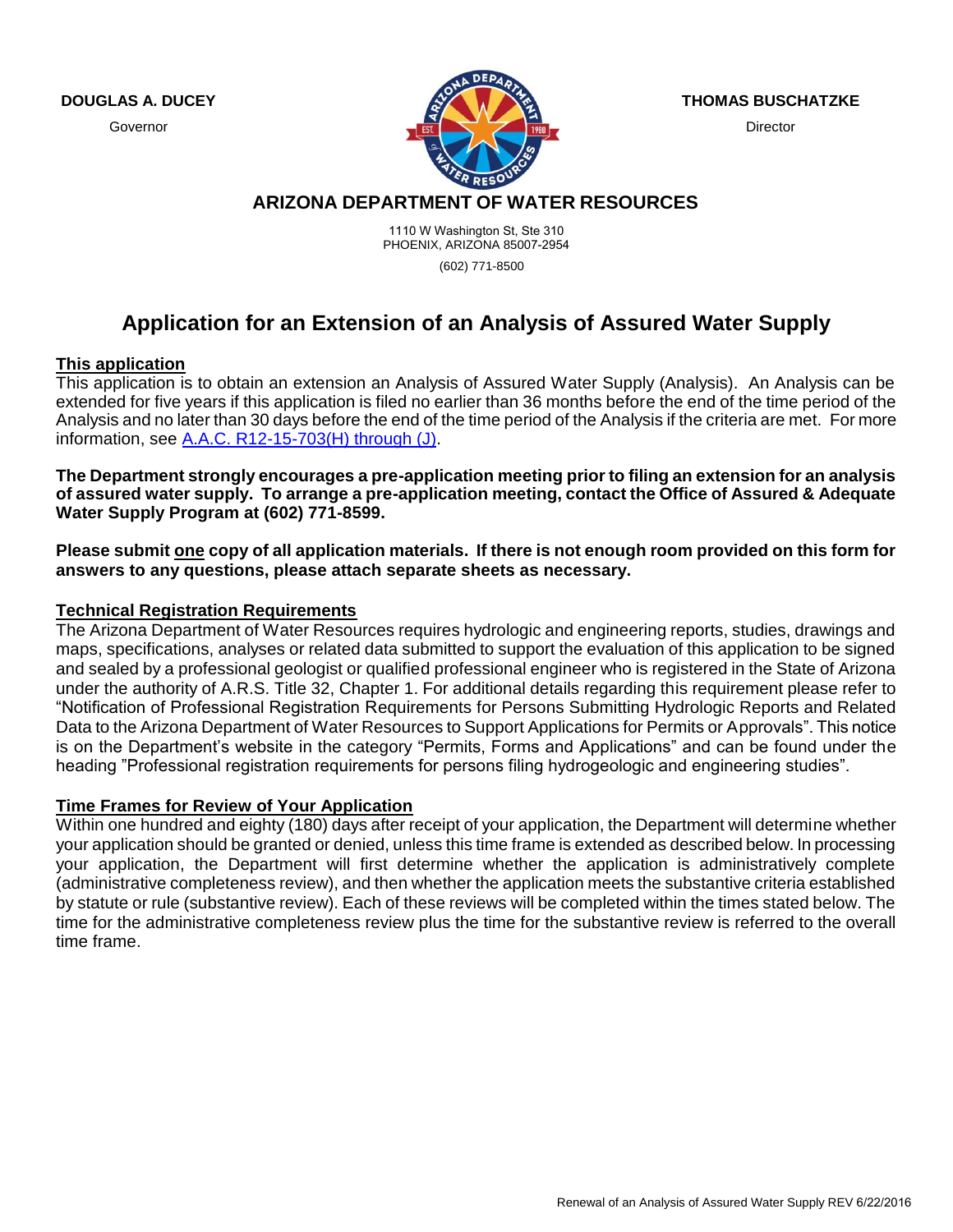**DOUGLAS A. DUCEY**

Governor



**THOMAS BUSCHATZKE**

**Director** 

# **ARIZONA DEPARTMENT OF WATER RESOURCES**

1110 W Washington St, Ste 310 PHOENIX, ARIZONA 85007-2954 (602) 771-8500

# **Application for an Extension of an Analysis of Assured Water Supply**

#### **This application**

This application is to obtain an extension an Analysis of Assured Water Supply (Analysis). An Analysis can be extended for five years if this application is filed no earlier than 36 months before the end of the time period of the Analysis and no later than 30 days before the end of the time period of the Analysis if the criteria are met. For more information, see [A.A.C. R12-15-703\(H\) through \(J\).](http://www.azsos.gov/public_services/Title_12/12-15.htm)

**The Department strongly encourages a pre-application meeting prior to filing an extension for an analysis of assured water supply. To arrange a pre-application meeting, contact the Office of Assured & Adequate Water Supply Program at (602) 771-8599.**

**Please submit one copy of all application materials. If there is not enough room provided on this form for answers to any questions, please attach separate sheets as necessary.** 

# **Technical Registration Requirements**

The Arizona Department of Water Resources requires hydrologic and engineering reports, studies, drawings and maps, specifications, analyses or related data submitted to support the evaluation of this application to be signed and sealed by a professional geologist or qualified professional engineer who is registered in the State of Arizona under the authority of A.R.S. Title 32, Chapter 1. For additional details regarding this requirement please refer to "Notification of Professional Registration Requirements for Persons Submitting Hydrologic Reports and Related Data to the Arizona Department of Water Resources to Support Applications for Permits or Approvals". This notice is on the Department's website in the category "Permits, Forms and Applications" and can be found under the heading "Professional registration requirements for persons filing hydrogeologic and engineering studies".

#### **Time Frames for Review of Your Application**

Within one hundred and eighty (180) days after receipt of your application, the Department will determine whether your application should be granted or denied, unless this time frame is extended as described below. In processing your application, the Department will first determine whether the application is administratively complete (administrative completeness review), and then whether the application meets the substantive criteria established by statute or rule (substantive review). Each of these reviews will be completed within the times stated below. The time for the administrative completeness review plus the time for the substantive review is referred to the overall time frame.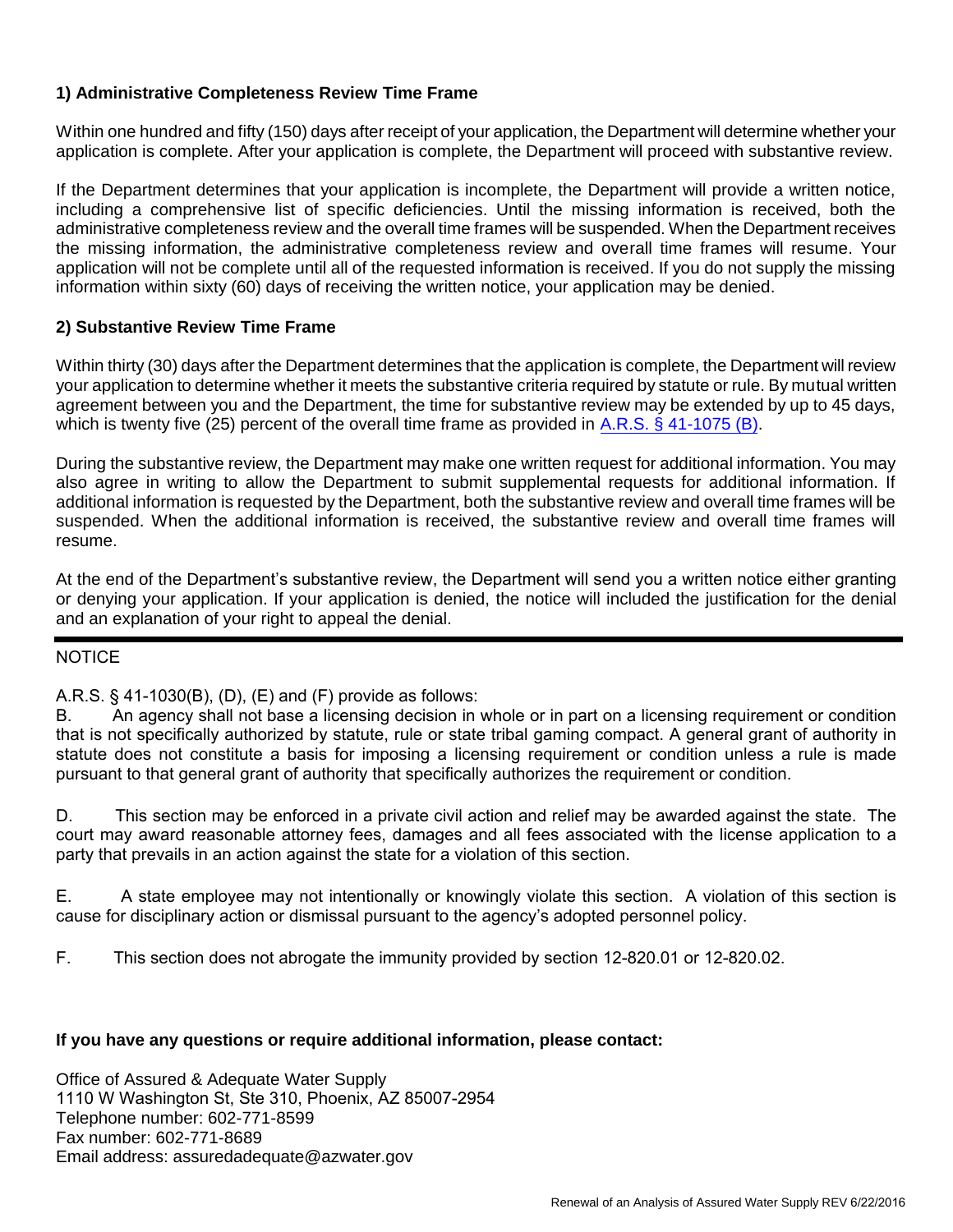# **1) Administrative Completeness Review Time Frame**

Within one hundred and fifty (150) days after receipt of your application, the Department will determine whether your application is complete. After your application is complete, the Department will proceed with substantive review.

If the Department determines that your application is incomplete, the Department will provide a written notice, including a comprehensive list of specific deficiencies. Until the missing information is received, both the administrative completeness review and the overall time frames will be suspended. When the Department receives the missing information, the administrative completeness review and overall time frames will resume. Your application will not be complete until all of the requested information is received. If you do not supply the missing information within sixty (60) days of receiving the written notice, your application may be denied.

# **2) Substantive Review Time Frame**

Within thirty (30) days after the Department determines that the application is complete, the Department will review your application to determine whether it meets the substantive criteria required by statute or rule. By mutual written agreement between you and the Department, the time for substantive review may be extended by up to 45 days, which is twenty five (25) percent of the overall time frame as provided i[n A.R.S. § 41-1075 \(B\).](http://www.azleg.gov/ArizonaRevisedStatutes.asp?Title=41)

During the substantive review, the Department may make one written request for additional information. You may also agree in writing to allow the Department to submit supplemental requests for additional information. If additional information is requested by the Department, both the substantive review and overall time frames will be suspended. When the additional information is received, the substantive review and overall time frames will resume.

At the end of the Department's substantive review, the Department will send you a written notice either granting or denying your application. If your application is denied, the notice will included the justification for the denial and an explanation of your right to appeal the denial.

# **NOTICE**

# A.R.S. § 41-1030(B), (D), (E) and (F) provide as follows:

B. An agency shall not base a licensing decision in whole or in part on a licensing requirement or condition that is not specifically authorized by statute, rule or state tribal gaming compact. A general grant of authority in statute does not constitute a basis for imposing a licensing requirement or condition unless a rule is made pursuant to that general grant of authority that specifically authorizes the requirement or condition.

D. This section may be enforced in a private civil action and relief may be awarded against the state. The court may award reasonable attorney fees, damages and all fees associated with the license application to a party that prevails in an action against the state for a violation of this section.

E. A state employee may not intentionally or knowingly violate this section. A violation of this section is cause for disciplinary action or dismissal pursuant to the agency's adopted personnel policy.

F. This section does not abrogate the immunity provided by section 12-820.01 or 12-820.02.

# **If you have any questions or require additional information, please contact:**

Office of Assured & Adequate Water Supply 1110 W Washington St, Ste 310, Phoenix, AZ 85007-2954 Telephone number: 602-771-8599 Fax number: 602-771-8689 Email address: assuredadequate@azwater.gov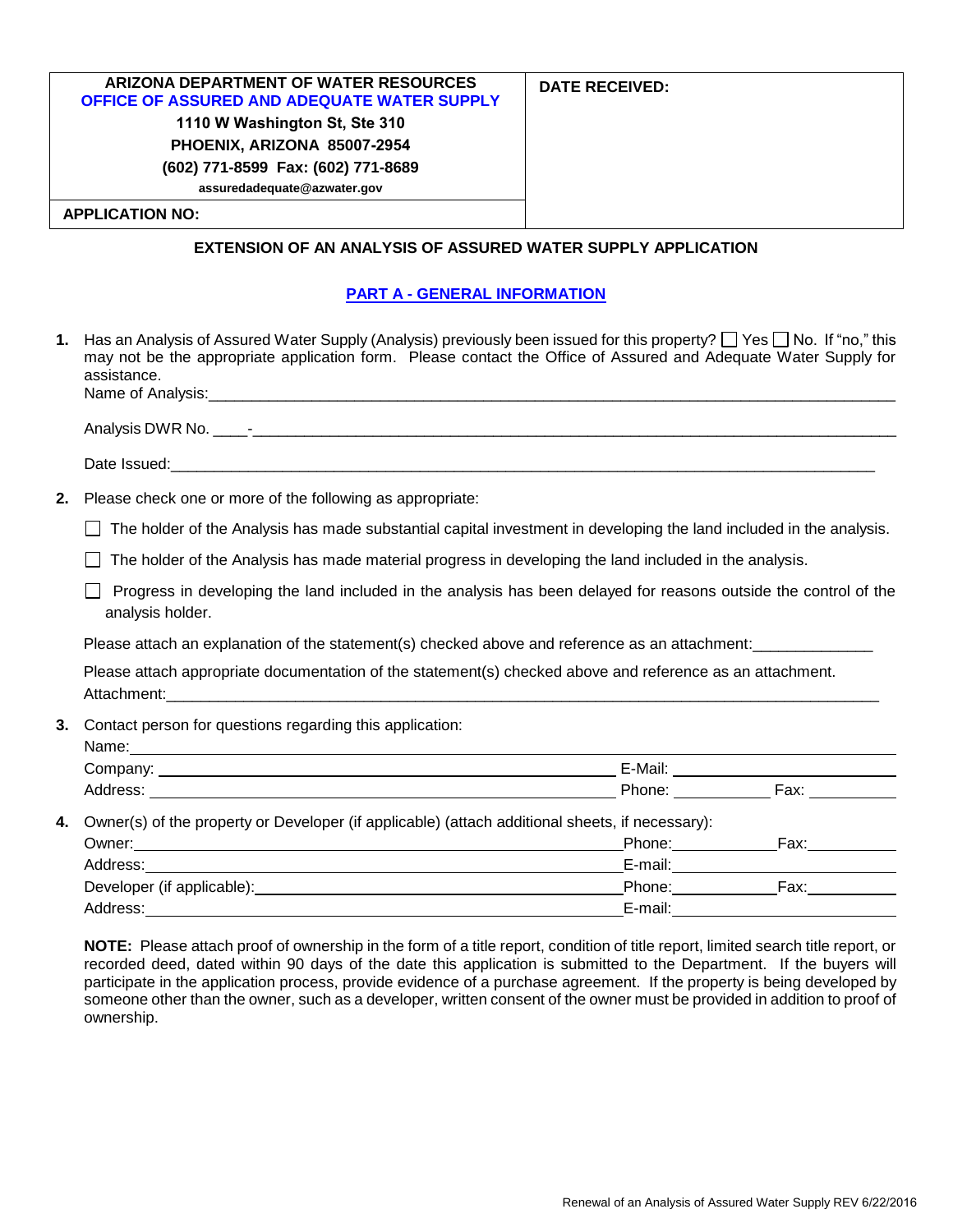| ARIZONA DEPARTMENT OF WATER RESOURCES              | DATE RECEIVED: |
|----------------------------------------------------|----------------|
| <b>OFFICE OF ASSURED AND ADEQUATE WATER SUPPLY</b> |                |
| 1110 W Washington St, Ste 310                      |                |
| PHOENIX, ARIZONA 85007-2954                        |                |
| (602) 771-8599 Fax: (602) 771-8689                 |                |
| assuredadequate@azwater.gov                        |                |
| <b>APPLICATION NO:</b>                             |                |

#### **EXTENSION OF AN ANALYSIS OF ASSURED WATER SUPPLY APPLICATION**

#### **PART A - GENERAL INFORMATION**

| 1. | Has an Analysis of Assured Water Supply (Analysis) previously been issued for this property? $\Box$ Yes $\Box$ No. If "no," this<br>may not be the appropriate application form. Please contact the Office of Assured and Adequate Water Supply for<br>assistance. |  |                                        |  |
|----|--------------------------------------------------------------------------------------------------------------------------------------------------------------------------------------------------------------------------------------------------------------------|--|----------------------------------------|--|
|    |                                                                                                                                                                                                                                                                    |  |                                        |  |
|    |                                                                                                                                                                                                                                                                    |  |                                        |  |
|    |                                                                                                                                                                                                                                                                    |  |                                        |  |
| 2. | Please check one or more of the following as appropriate:                                                                                                                                                                                                          |  |                                        |  |
|    | The holder of the Analysis has made substantial capital investment in developing the land included in the analysis.                                                                                                                                                |  |                                        |  |
|    | The holder of the Analysis has made material progress in developing the land included in the analysis.                                                                                                                                                             |  |                                        |  |
|    | Progress in developing the land included in the analysis has been delayed for reasons outside the control of the<br>analysis holder.                                                                                                                               |  |                                        |  |
|    | Please attach an explanation of the statement(s) checked above and reference as an attachment:                                                                                                                                                                     |  |                                        |  |
|    | Please attach appropriate documentation of the statement(s) checked above and reference as an attachment.                                                                                                                                                          |  |                                        |  |
| 3. | Contact person for questions regarding this application:                                                                                                                                                                                                           |  |                                        |  |
|    |                                                                                                                                                                                                                                                                    |  |                                        |  |
|    |                                                                                                                                                                                                                                                                    |  |                                        |  |
| 4. | Owner(s) of the property or Developer (if applicable) (attach additional sheets, if necessary):                                                                                                                                                                    |  |                                        |  |
|    |                                                                                                                                                                                                                                                                    |  | Phone: Fax: Fax:                       |  |
|    | Address: _________<br><u> 1989 - Johann Stoff, deutscher Stoffen und der Stoffen und der Stoffen und der Stoffen und der Stoffen und der</u>                                                                                                                       |  | E-mail:_______________________________ |  |
|    | Developer (if applicable): Notice that the control of the control of the Phone: Note that the Fax: Note that the control of the control of the control of the control of the control of the control of the control of the cont                                     |  |                                        |  |
|    |                                                                                                                                                                                                                                                                    |  |                                        |  |

**NOTE:** Please attach proof of ownership in the form of a title report, condition of title report, limited search title report, or recorded deed, dated within 90 days of the date this application is submitted to the Department. If the buyers will participate in the application process, provide evidence of a purchase agreement. If the property is being developed by someone other than the owner, such as a developer, written consent of the owner must be provided in addition to proof of ownership.